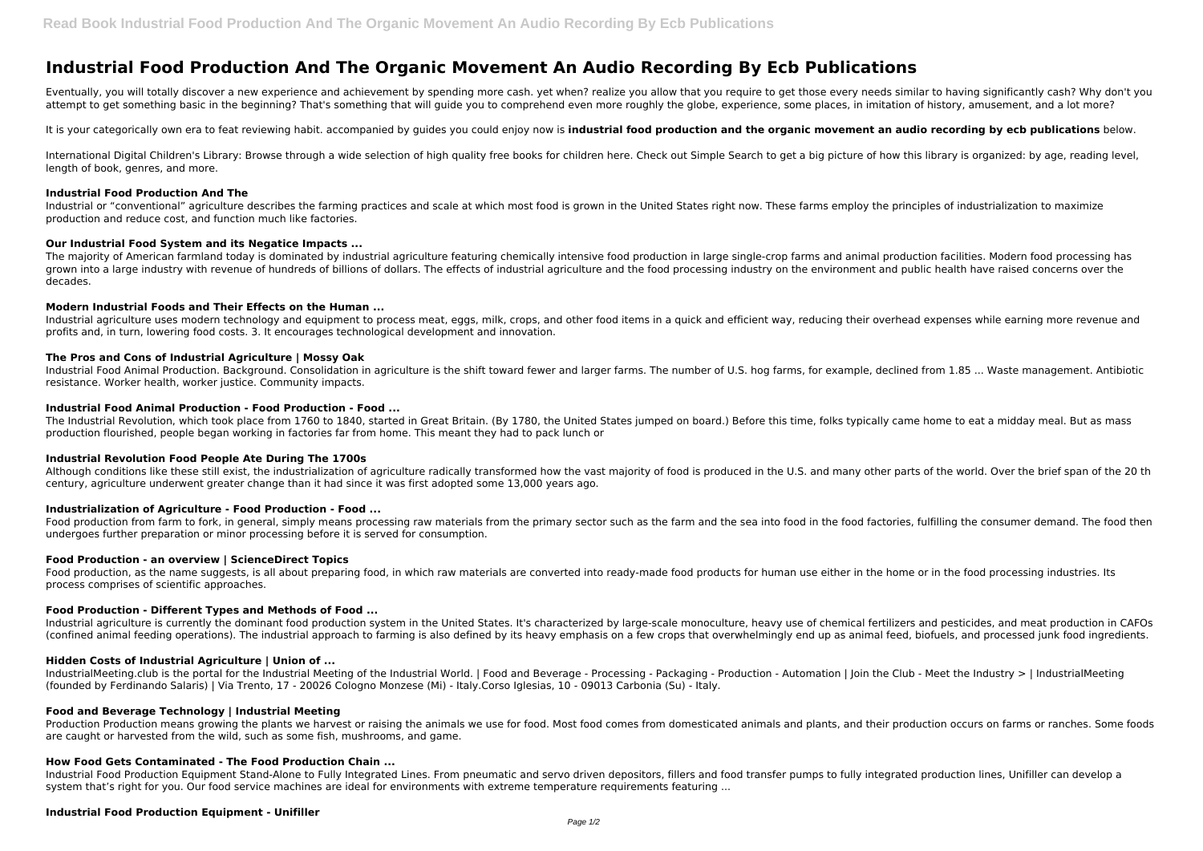# **Industrial Food Production And The Organic Movement An Audio Recording By Ecb Publications**

Eventually, you will totally discover a new experience and achievement by spending more cash. yet when? realize you allow that you require to get those every needs similar to having significantly cash? Why don't you attempt to get something basic in the beginning? That's something that will guide you to comprehend even more roughly the globe, experience, some places, in imitation of history, amusement, and a lot more?

International Digital Children's Library: Browse through a wide selection of high quality free books for children here. Check out Simple Search to get a big picture of how this library is organized: by age, reading level, length of book, genres, and more.

It is your categorically own era to feat reviewing habit. accompanied by guides you could enjoy now is **industrial food production and the organic movement an audio recording by ecb publications** below.

The majority of American farmland today is dominated by industrial agriculture featuring chemically intensive food production in large single-crop farms and animal production facilities. Modern food processing has grown into a large industry with revenue of hundreds of billions of dollars. The effects of industrial agriculture and the food processing industry on the environment and public health have raised concerns over the decades.

# **Industrial Food Production And The**

Industrial agriculture uses modern technology and equipment to process meat, eggs, milk, crops, and other food items in a quick and efficient way, reducing their overhead expenses while earning more revenue and profits and, in turn, lowering food costs. 3. It encourages technological development and innovation.

Industrial or "conventional" agriculture describes the farming practices and scale at which most food is grown in the United States right now. These farms employ the principles of industrialization to maximize production and reduce cost, and function much like factories.

# **Our Industrial Food System and its Negatice Impacts ...**

Food production from farm to fork, in general, simply means processing raw materials from the primary sector such as the farm and the sea into food in the food factories, fulfilling the consumer demand. The food then undergoes further preparation or minor processing before it is served for consumption.

# **Modern Industrial Foods and Their Effects on the Human ...**

Industrial agriculture is currently the dominant food production system in the United States. It's characterized by large-scale monoculture, heavy use of chemical fertilizers and pesticides, and meat production in CAFOs (confined animal feeding operations). The industrial approach to farming is also defined by its heavy emphasis on a few crops that overwhelmingly end up as animal feed, biofuels, and processed junk food ingredients.

# **The Pros and Cons of Industrial Agriculture | Mossy Oak**

Industrial Food Animal Production. Background. Consolidation in agriculture is the shift toward fewer and larger farms. The number of U.S. hog farms, for example, declined from 1.85 ... Waste management. Antibiotic resistance. Worker health, worker justice. Community impacts.

IndustrialMeeting.club is the portal for the Industrial Meeting of the Industrial World. | Food and Beverage - Processing - Packaging - Production - Automation | Join the Club - Meet the Industry > | IndustrialMeeting (founded by Ferdinando Salaris) | Via Trento, 17 - 20026 Cologno Monzese (Mi) - Italy.Corso Iglesias, 10 - 09013 Carbonia (Su) - Italy.

# **Industrial Food Animal Production - Food Production - Food ...**

Production Production means growing the plants we harvest or raising the animals we use for food. Most food comes from domesticated animals and plants, and their production occurs on farms or ranches. Some foods are caught or harvested from the wild, such as some fish, mushrooms, and game.

The Industrial Revolution, which took place from 1760 to 1840, started in Great Britain. (By 1780, the United States jumped on board.) Before this time, folks typically came home to eat a midday meal. But as mass production flourished, people began working in factories far from home. This meant they had to pack lunch or

# **Industrial Revolution Food People Ate During The 1700s**

Although conditions like these still exist, the industrialization of agriculture radically transformed how the vast majority of food is produced in the U.S. and many other parts of the world. Over the brief span of the 20 th century, agriculture underwent greater change than it had since it was first adopted some 13,000 years ago.

# **Industrialization of Agriculture - Food Production - Food ...**

# **Food Production - an overview | ScienceDirect Topics**

Food production, as the name suggests, is all about preparing food, in which raw materials are converted into ready-made food products for human use either in the home or in the food processing industries. Its process comprises of scientific approaches.

#### **Food Production - Different Types and Methods of Food ...**

# **Hidden Costs of Industrial Agriculture | Union of ...**

### **Food and Beverage Technology | Industrial Meeting**

#### **How Food Gets Contaminated - The Food Production Chain ...**

Industrial Food Production Equipment Stand-Alone to Fully Integrated Lines. From pneumatic and servo driven depositors, fillers and food transfer pumps to fully integrated production lines, Unifiller can develop a system that's right for you. Our food service machines are ideal for environments with extreme temperature requirements featuring ...

# **Industrial Food Production Equipment - Unifiller**